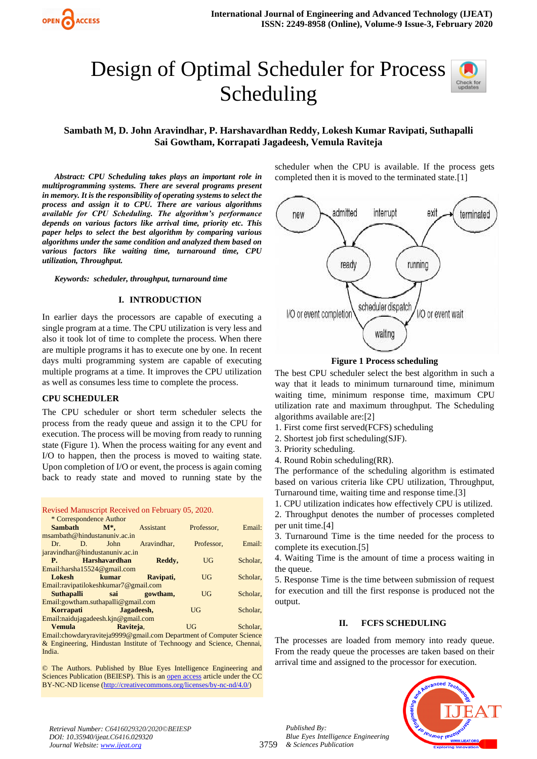

# Design of Optimal Scheduler for Process Scheduling



# **Sambath M, D. John Aravindhar, P. Harshavardhan Reddy, Lokesh Kumar Ravipati, Suthapalli Sai Gowtham, Korrapati Jagadeesh, Vemula Raviteja**

 *Abstract: CPU Scheduling takes plays an important role in multiprogramming systems. There are several programs present in memory. It is the responsibility of operating systems to select the process and assign it to CPU. There are various algorithms available for CPU Scheduling. The algorithm's performance depends on various factors like arrival time, priority etc. This paper helps to select the best algorithm by comparing various algorithms under the same condition and analyzed them based on various factors like waiting time, turnaround time, CPU utilization, Throughput.* 

*Keywords: scheduler, throughput, turnaround time*

#### **I. INTRODUCTION**

In earlier days the processors are capable of executing a single program at a time. The CPU utilization is very less and also it took lot of time to complete the process. When there are multiple programs it has to execute one by one. In recent days multi programming system are capable of executing multiple programs at a time. It improves the CPU utilization as well as consumes less time to complete the process.

#### **CPU SCHEDULER**

The CPU scheduler or short term scheduler selects the process from the ready queue and assign it to the CPU for execution. The process will be moving from ready to running state (Figure 1). When the process waiting for any event and I/O to happen, then the process is moved to waiting state. Upon completion of I/O or event, the process is again coming back to ready state and moved to running state by the

|  | Revised Manuscript Received on February 05, 2020. |  |
|--|---------------------------------------------------|--|
|  |                                                   |  |

| * Correspondence Author                |                                       |                         |            |          |  |  |  |
|----------------------------------------|---------------------------------------|-------------------------|------------|----------|--|--|--|
| Sambath                                | $\mathbf{M}^*$ ,                      | <b>Assistant</b>        | Professor, | Email:   |  |  |  |
|                                        | msambath@hindustanuniv.ac.in          |                         |            |          |  |  |  |
| $Dr =$                                 | John<br>$\mathbf{D}$                  | Aravindhar.             | Professor. | Email:   |  |  |  |
|                                        | jaravindhar@hindustanuniv.ac.in       |                         |            |          |  |  |  |
|                                        | P. Harshavardhan                      | Reddy,                  | UG         | Scholar. |  |  |  |
|                                        | Email: harsha $15524@$ gmail.com      |                         |            |          |  |  |  |
| Lokesh                                 | kumar                                 | Ravipati,               | UG         | Scholar, |  |  |  |
| Email:ravipatilokeshkumar7@gmail.com   |                                       |                         |            |          |  |  |  |
|                                        |                                       | Suthapalli sai gowtham, | UG         | Scholar, |  |  |  |
| $Email: gowtham.$ suthapalli@gmail.com |                                       |                         |            |          |  |  |  |
|                                        | Korrapati Jagadeesh,                  |                         | UG         | Scholar. |  |  |  |
|                                        | $Email:$ naidujagadeesh.kjn@gmail.com |                         |            |          |  |  |  |
| <b>Vemula</b>                          |                                       | Raviteja,               | UG         | Scholar. |  |  |  |

Email:chowdaryraviteja9999@gmail.com Department of Computer Science & Engineering, Hindustan Institute of Technoogy and Science, Chennai, India.

© The Authors. Published by Blue Eyes Intelligence Engineering and Sciences Publication (BEIESP). This is a[n open access](https://www.openaccess.nl/en/open-publications) article under the CC BY-NC-ND license [\(http://creativecommons.org/licenses/by-nc-nd/4.0/\)](http://creativecommons.org/licenses/by-nc-nd/4.0/)

scheduler when the CPU is available. If the process gets completed then it is moved to the terminated state.[1]



**Figure 1 Process scheduling**

The best CPU scheduler select the best algorithm in such a way that it leads to minimum turnaround time, minimum waiting time, minimum response time, maximum CPU utilization rate and maximum throughput. The Scheduling algorithms available are:[2]

1. First come first served(FCFS) scheduling

- 2. Shortest job first scheduling(SJF).
- 3. Priority scheduling.
- 4. Round Robin scheduling(RR).

The performance of the scheduling algorithm is estimated based on various criteria like CPU utilization, Throughput, Turnaround time, waiting time and response time.[3]

1. CPU utilization indicates how effectively CPU is utilized.

2. Throughput denotes the number of processes completed per unit time.[4]

3. Turnaround Time is the time needed for the process to complete its execution.[5]

4. Waiting Time is the amount of time a process waiting in the queue.

5. Response Time is the time between submission of request for execution and till the first response is produced not the output.

#### **II. FCFS SCHEDULING**

The processes are loaded from memory into ready queue. From the ready queue the processes are taken based on their arrival time and assigned to the processor for execution.



*Retrieval Number: C6416029320/2020©BEIESP DOI: 10.35940/ijeat.C6416.029320 Journal Website[: www.ijeat.org](http://www.ijeat.org/)*

*Published By:*

*& Sciences Publication* 

*Blue Eyes Intelligence Engineering*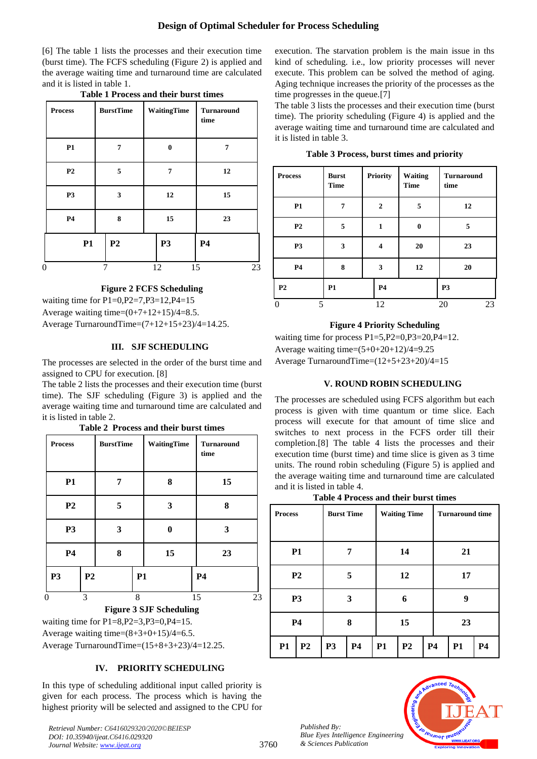[6] The table 1 lists the processes and their execution time (burst time). The FCFS scheduling (Figure 2) is applied and the average waiting time and turnaround time are calculated and it is listed in table 1.

| <b>Process</b> | <b>BurstTime</b> | WaitingTime | <b>Turnaround</b><br>time |
|----------------|------------------|-------------|---------------------------|
| P1             | 7                | $\bf{0}$    | 7                         |
| P <sub>2</sub> | 5                | 7           | 12                        |
| P <sub>3</sub> | 3                | 12          | 15                        |
| <b>P4</b>      | 8                | 15          | 23                        |
| <b>P1</b>      | P <sub>2</sub>   | <b>P3</b>   | <b>P4</b>                 |
| 0              | 7                | 15<br>12    | 23                        |

**Table 1 Process and their burst times**

## **Figure 2 FCFS Scheduling**

waiting time for  $P1=0, P2=7, P3=12, P4=15$ Average waiting time= $(0+7+12+15)/4=8.5$ .

Average TurnaroundTime=(7+12+15+23)/4=14.25.

## **III. SJF SCHEDULING**

The processes are selected in the order of the burst time and assigned to CPU for execution. [8]

The table 2 lists the processes and their execution time (burst time). The SJF scheduling (Figure 3) is applied and the average waiting time and turnaround time are calculated and it is listed in table 2.

| Table 2 Process and their burst times |  |  |
|---------------------------------------|--|--|
|                                       |  |  |

| P1<br>P <sub>2</sub> |                | 7 |           | 8  | 15        |
|----------------------|----------------|---|-----------|----|-----------|
|                      |                |   |           |    |           |
|                      |                | 5 |           | 3  | 8         |
| <b>P3</b>            |                | 3 |           | 0  | 3         |
| <b>P4</b>            |                | 8 |           | 15 | 23        |
| P <sub>3</sub>       | P <sub>2</sub> |   | <b>P1</b> |    | <b>P4</b> |
| $\theta$             | 3              |   | 8         |    | 15<br>23  |

# **Figure 3 SJF Scheduling**

waiting time for P1=8,P2=3,P3=0,P4=15. Average waiting time= $(8+3+0+15)/4=6.5$ .

Average TurnaroundTime=(15+8+3+23)/4=12.25.

## **IV. PRIORITY SCHEDULING**

In this type of scheduling additional input called priority is given for each process. The process which is having the highest priority will be selected and assigned to the CPU for

*Retrieval Number: C6416029320/2020©BEIESP DOI: 10.35940/ijeat.C6416.029320 Journal Website: [www.ijeat.org](http://www.ijeat.org/)*

execution. The starvation problem is the main issue in ths kind of scheduling. i.e., low priority processes will never execute. This problem can be solved the method of aging. Aging technique increases the priority of the processes as the time progresses in the queue.[7]

The table 3 lists the processes and their execution time (burst time). The priority scheduling (Figure 4) is applied and the average waiting time and turnaround time are calculated and it is listed in table 3.

|  |  | Table 3 Process, burst times and priority |  |  |  |  |
|--|--|-------------------------------------------|--|--|--|--|
|--|--|-------------------------------------------|--|--|--|--|

| <b>Process</b> | <b>Burst</b><br><b>Time</b> | <b>Priority</b>  | Waiting<br><b>Time</b> | <b>Turnaround</b><br>time |
|----------------|-----------------------------|------------------|------------------------|---------------------------|
| P1             | 7                           | $\boldsymbol{2}$ | 5                      | 12                        |
| P <sub>2</sub> | 5                           | 1                | $\mathbf{0}$           | 5                         |
| P <sub>3</sub> | 3                           | 4                | 20                     | 23                        |
| P <sub>4</sub> | 8                           | 3                | 12                     | 20                        |
| P <sub>2</sub> | <b>P1</b>                   | <b>P4</b>        |                        | P <sub>3</sub>            |
| 5              |                             | 12               |                        | 20<br>23                  |

## **Figure 4 Priority Scheduling**

waiting time for process P1=5, P2=0, P3=20, P4=12. Average waiting time= $(5+0+20+12)/4=9.25$ Average TurnaroundTime=(12+5+23+20)/4=15

## **V. ROUND ROBIN SCHEDULING**

The processes are scheduled using FCFS algorithm but each process is given with time quantum or time slice. Each process will execute for that amount of time slice and switches to next process in the FCFS order till their completion.[8] The table 4 lists the processes and their execution time (burst time) and time slice is given as 3 time units. The round robin scheduling (Figure 5) is applied and the average waiting time and turnaround time are calculated and it is listed in table 4.

| Table 4 Process and their burst times |  |  |  |
|---------------------------------------|--|--|--|
|---------------------------------------|--|--|--|

| <b>Process</b> |                | <b>Burst Time</b> |    |           | <b>Waiting Time</b> |           | <b>Turnaround time</b> |           |  |
|----------------|----------------|-------------------|----|-----------|---------------------|-----------|------------------------|-----------|--|
|                |                |                   |    |           |                     |           |                        |           |  |
|                | <b>P1</b>      |                   | 7  |           | 14                  |           | 21                     |           |  |
|                | P <sub>2</sub> |                   | 5  |           | 12                  |           | 17                     |           |  |
|                | <b>P3</b>      |                   | 3  |           | 6                   |           | 9                      |           |  |
|                | P <sub>4</sub> | 8                 |    | 15        |                     |           |                        | 23        |  |
| P1             | P <sub>2</sub> | <b>P3</b>         | P4 | <b>P1</b> | P <sub>2</sub>      | <b>P4</b> | <b>P1</b>              | <b>P4</b> |  |